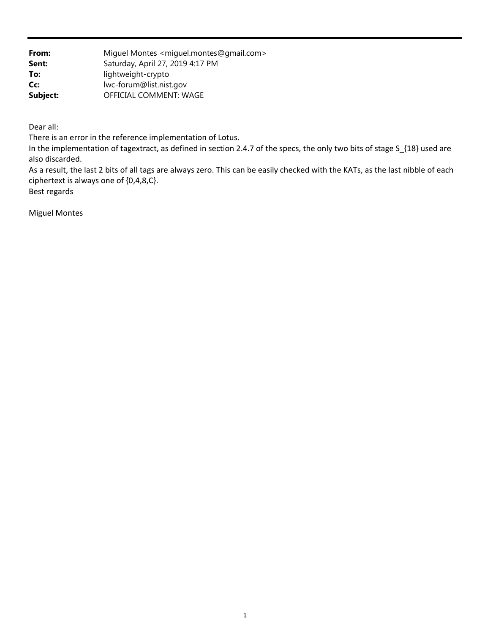**From:** Miguel Montes <miguel.montes@gmail.com> **Sent:** Saturday, April 27, 2019 4:17 PM **To:** lightweight-crypto **Cc:** lwc-forum@list.nist.gov Subject: **OFFICIAL COMMENT: WAGE** 

Dear all:

There is an error in the reference implementation of Lotus.

 In the implementation of tagextract, as defined in section 2.4.7 of the specs, the only two bits of stage S\_{18} used are also discarded.

 As a result, the last 2 bits of all tags are always zero. This can be easily checked with the KATs, as the last nibble of each ciphertext is always one of {0,4,8,C}.

Best regards

Miguel Montes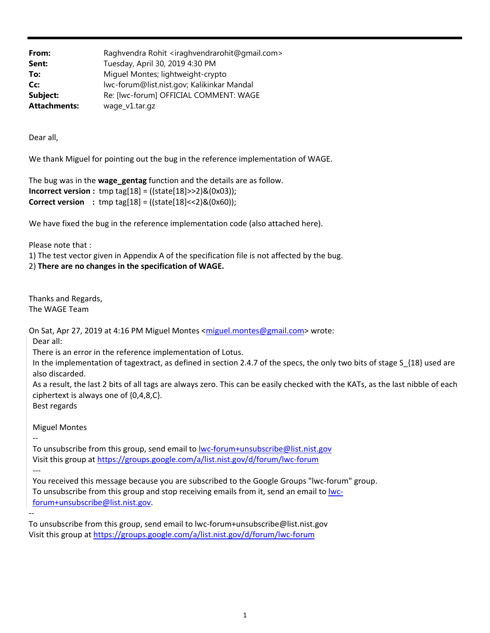| From:               | Raghvendra Rohit <iraghvendrarohit@gmail.com></iraghvendrarohit@gmail.com> |
|---------------------|----------------------------------------------------------------------------|
| Sent:               | Tuesday, April 30, 2019 4:30 PM                                            |
| To:                 | Miguel Montes; lightweight-crypto                                          |
| Cc:                 | lwc-forum@list.nist.gov; Kalikinkar Mandal                                 |
| Subject:            | Re: [lwc-forum] OFFICIAL COMMENT: WAGE                                     |
| <b>Attachments:</b> | wage_v1.tar.gz                                                             |

Dear all,

We thank Miguel for pointing out the bug in the reference implementation of WAGE.

```
The bug was in the wage gentag function and the details are as follow.
Incorrect version : \text{tmp tag}[18] = ((\text{state}[18] > > 2) \& (0 \times 03));Correct version : tmp tag[18] = ((state[18] < 2)&(0x60));
```
We have fixed the bug in the reference implementation code (also attached here).

Please note that :

1) The test vector given in Appendix A of the specification file is not affected by the bug.

2) **There are no changes in the specification of WAGE.**

Thanks and Regards, The WAGE Team

On Sat, Apr 27, 2019 at 4:16 PM Miguel Montes <miguel.montes@gmail.com> wrote:

Dear all:

There is an error in the reference implementation of Lotus.

In the implementation of tagextract, as defined in section 2.4.7 of the specs, the only two bits of stage S<sub>\_{18}</sub> used are also discarded.

As a result, the last 2 bits of all tags are always zero. This can be easily checked with the KATs, as the last nibble of each ciphertext is always one of {0,4,8,C}.

Best regards

‐‐

‐‐‐

‐‐

Miguel Montes

To unsubscribe from this group, send email to lwc‐forum+unsubscribe@list.nist.gov Visit this group at https://groups.google.com/a/list.nist.gov/d/forum/lwc‐forum

You received this message because you are subscribed to the Google Groups "lwc‐forum" group. To unsubscribe from this group and stop receiving emails from it, send an email to lwcforum+unsubscribe@list.nist.gov.

To unsubscribe from this group, send email to lwc‐forum+unsubscribe@list.nist.gov Visit this group at https://groups.google.com/a/list.nist.gov/d/forum/lwc‐forum